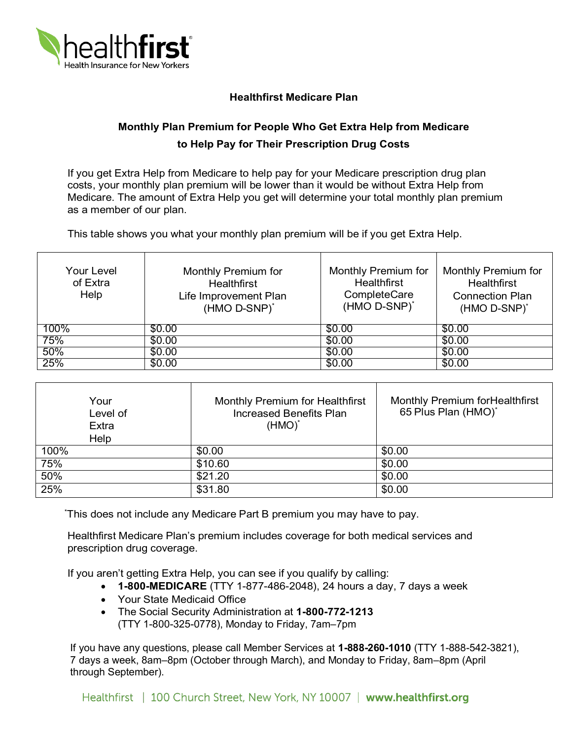

## **Healthfirst Medicare Plan**

## **Monthly Plan Premium for People Who Get Extra Help from Medicare to Help Pay for Their Prescription Drug Costs**

 If you get Extra Help from Medicare to help pay for your Medicare prescription drug plan costs, your monthly plan premium will be lower than it would be without Extra Help from Medicare. The amount of Extra Help you get will determine your total monthly plan premium as a member of our plan.

This table shows you what your monthly plan premium will be if you get Extra Help.

| <b>Your Level</b><br>of Extra<br>Help | Monthly Premium for<br><b>Healthfirst</b><br>Life Improvement Plan<br>(HMO D-SNP) <sup>*</sup> | Monthly Premium for<br><b>Healthfirst</b><br>CompleteCare<br>(HMO D-SNP) <sup>*</sup> | Monthly Premium for<br><b>Healthfirst</b><br><b>Connection Plan</b><br>(HMO D-SNP) <sup>*</sup> |
|---------------------------------------|------------------------------------------------------------------------------------------------|---------------------------------------------------------------------------------------|-------------------------------------------------------------------------------------------------|
| 100%                                  | \$0.00                                                                                         | \$0.00                                                                                | \$0.00                                                                                          |
| 75%                                   | \$0.00                                                                                         | \$0.00                                                                                | \$0.00                                                                                          |
| 50%                                   | \$0.00                                                                                         | \$0.00                                                                                | \$0.00                                                                                          |
| 25%                                   | \$0.00                                                                                         | \$0.00                                                                                | \$0.00                                                                                          |

| Your<br>Level of<br>Extra<br>Help | Monthly Premium for Healthfirst<br><b>Increased Benefits Plan</b><br>$(HMO)^*$ | <b>Monthly Premium for Healthfirst</b><br>65 Plus Plan (HMO)* |
|-----------------------------------|--------------------------------------------------------------------------------|---------------------------------------------------------------|
| 100%                              | \$0.00                                                                         | \$0.00                                                        |
| 75%                               | \$10.60                                                                        | \$0.00                                                        |
| 50%                               | \$21.20                                                                        | \$0.00                                                        |
| 25%                               | \$31.80                                                                        | \$0.00                                                        |

\* This does not include any Medicare Part B premium you may have to pay.

Healthfirst Medicare Plan's premium includes coverage for both medical services and prescription drug coverage.

If you aren't getting Extra Help, you can see if you qualify by calling:

- **1-800-MEDICARE** (TTY 1-877-486-2048), 24 hours a day, 7 days a week
- Your State Medicaid Office
- The Social Security Administration at **1-800-772-1213** 
	- (TTY 1-800-325-0778), Monday to Friday, 7am–7pm

 If you have any questions, please call Member Services at **1-888-260-1010** (TTY 1-888-542-3821), 7 days a week, 8am–8pm (October through March), and Monday to Friday, 8am–8pm (April through September).